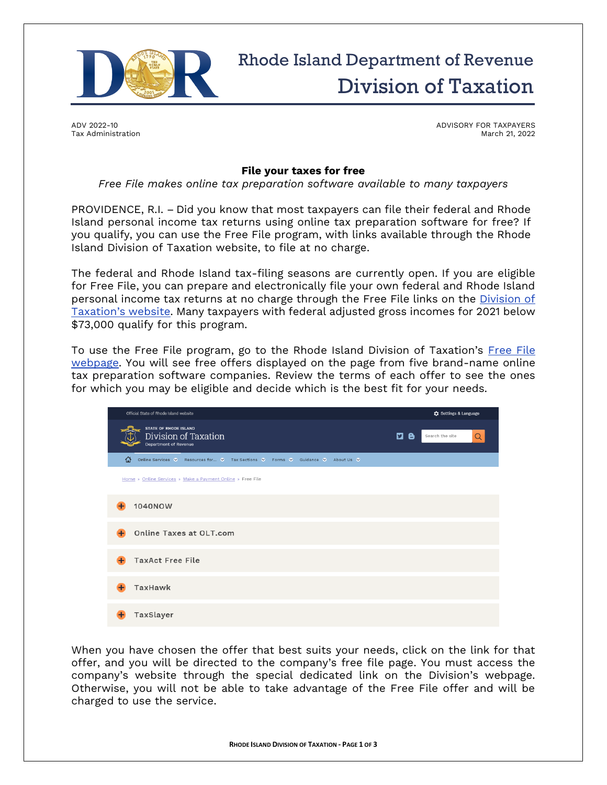

## Rhode Island Department of Revenue Division of Taxation

ADV 2022-10 Tax Administration ADVISORY FOR TAXPAYERS March 21, 2022

## **File your taxes for free**

*Free File makes online tax preparation software available to many taxpayers*

PROVIDENCE, R.I. – Did you know that most taxpayers can file their federal and Rhode Island personal income tax returns using online tax preparation software for free? If you qualify, you can use the Free File program, with links available through the Rhode Island Division of Taxation website, to file at no charge.

The federal and Rhode Island tax-filing seasons are currently open. If you are eligible for Free File, you can prepare and electronically file your own federal and Rhode Island personal income tax returns at no charge through the Free File links on the Division of [Taxation's website](https://tax.ri.gov/online-services/make-payment-online/free-file). Many taxpayers with federal adjusted gross incomes for 2021 below \$73,000 qualify for this program.

To use the Free File program, go to the Rhode Island Division of Taxation's [Free File](https://tax.ri.gov/online-services/make-payment-online/free-file)  [webpage.](https://tax.ri.gov/online-services/make-payment-online/free-file) You will see free offers displayed on the page from five brand-name online tax preparation software companies. Review the terms of each offer to see the ones for which you may be eligible and decide which is the best fit for your needs.

| Official State of Rhode Island website                                               |                | C: Settings & Language |
|--------------------------------------------------------------------------------------|----------------|------------------------|
| <b>STATE OF RHODE ISLAND</b><br>Division of Taxation<br>Department of Revenue        | $\mathbf{a}$ e | Search the site<br>Q   |
| क़<br>Online Services ♥ Resources for ♥ Tax Sections ♥ Forms ♥ Guidance ♥ About Us ♥ |                |                        |
| Home » Online Services » Make a Payment Online » Free File                           |                |                        |
| 1040NOW                                                                              |                |                        |
| Online Taxes at OLT.com                                                              |                |                        |
| <b>TaxAct Free File</b>                                                              |                |                        |
| TaxHawk                                                                              |                |                        |
| TaxSlayer                                                                            |                |                        |

When you have chosen the offer that best suits your needs, click on the link for that offer, and you will be directed to the company's free file page. You must access the company's website through the special dedicated link on the Division's webpage. Otherwise, you will not be able to take advantage of the Free File offer and will be charged to use the service.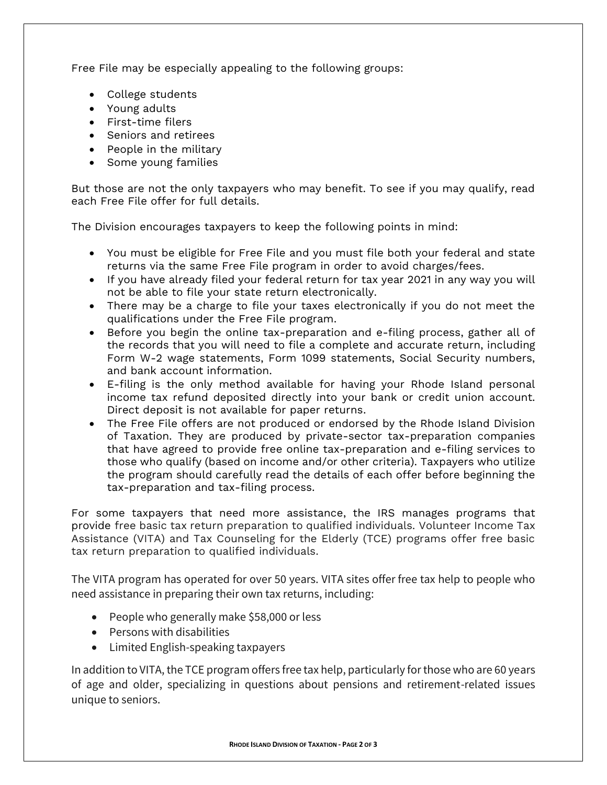Free File may be especially appealing to the following groups:

- College students
- Young adults
- First-time filers
- Seniors and retirees
- People in the military
- Some young families

But those are not the only taxpayers who may benefit. To see if you may qualify, read each Free File offer for full details.

The Division encourages taxpayers to keep the following points in mind:

- You must be eligible for Free File and you must file both your federal and state returns via the same Free File program in order to avoid charges/fees.
- If you have already filed your federal return for tax year 2021 in any way you will not be able to file your state return electronically.
- There may be a charge to file your taxes electronically if you do not meet the qualifications under the Free File program.
- Before you begin the online tax-preparation and e-filing process, gather all of the records that you will need to file a complete and accurate return, including Form W-2 wage statements, Form 1099 statements, Social Security numbers, and bank account information.
- E-filing is the only method available for having your Rhode Island personal income tax refund deposited directly into your bank or credit union account. Direct deposit is not available for paper returns.
- The Free File offers are not produced or endorsed by the Rhode Island Division of Taxation. They are produced by private-sector tax-preparation companies that have agreed to provide free online tax-preparation and e-filing services to those who qualify (based on income and/or other criteria). Taxpayers who utilize the program should carefully read the details of each offer before beginning the tax-preparation and tax-filing process.

For some taxpayers that need more assistance, the IRS manages programs that provide free basic tax return preparation to qualified individuals. Volunteer Income Tax Assistance (VITA) and Tax Counseling for the Elderly (TCE) programs offer free basic tax return preparation to qualified individuals.

The VITA program has operated for over 50 years. VITA sites offer free tax help to people who need assistance in preparing their own tax returns, including:

- People who generally make \$58,000 or less
- Persons with disabilities
- Limited English-speaking taxpayers

In addition to VITA, the TCE program offers free tax help, particularly for those who are 60 years of age and older, specializing in questions about pensions and retirement-related issues unique to seniors.